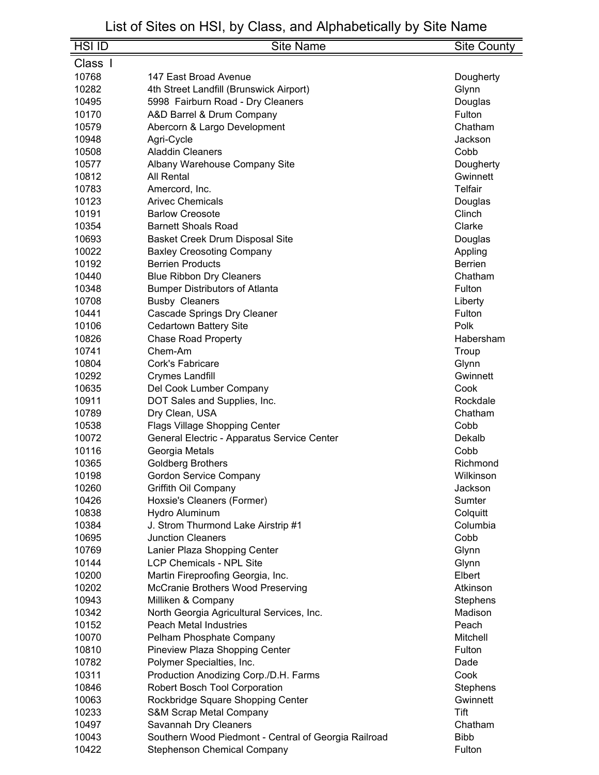| <b>HSI ID</b> | <b>Site Name</b>                                     | <b>Site County</b> |
|---------------|------------------------------------------------------|--------------------|
| Class I       |                                                      |                    |
| 10768         | 147 East Broad Avenue                                | Dougherty          |
| 10282         | 4th Street Landfill (Brunswick Airport)              | Glynn              |
| 10495         | 5998 Fairburn Road - Dry Cleaners                    | Douglas            |
| 10170         | A&D Barrel & Drum Company                            | Fulton             |
| 10579         |                                                      | Chatham            |
| 10948         | Abercorn & Largo Development                         | Jackson            |
| 10508         | Agri-Cycle<br><b>Aladdin Cleaners</b>                | Cobb               |
|               |                                                      |                    |
| 10577         | Albany Warehouse Company Site                        | Dougherty          |
| 10812         | All Rental                                           | Gwinnett           |
| 10783         | Amercord, Inc.                                       | Telfair            |
| 10123         | <b>Arivec Chemicals</b>                              | Douglas            |
| 10191         | <b>Barlow Creosote</b>                               | Clinch             |
| 10354         | <b>Barnett Shoals Road</b>                           | Clarke             |
| 10693         | Basket Creek Drum Disposal Site                      | Douglas            |
| 10022         | <b>Baxley Creosoting Company</b>                     | Appling            |
| 10192         | <b>Berrien Products</b>                              | <b>Berrien</b>     |
| 10440         | <b>Blue Ribbon Dry Cleaners</b>                      | Chatham            |
| 10348         | <b>Bumper Distributors of Atlanta</b>                | Fulton             |
| 10708         | <b>Busby Cleaners</b>                                | Liberty            |
| 10441         | <b>Cascade Springs Dry Cleaner</b>                   | Fulton             |
| 10106         | <b>Cedartown Battery Site</b>                        | Polk               |
| 10826         | <b>Chase Road Property</b>                           | Habersham          |
| 10741         | Chem-Am                                              | Troup              |
| 10804         | Cork's Fabricare                                     | Glynn              |
| 10292         | <b>Crymes Landfill</b>                               | Gwinnett           |
| 10635         | Del Cook Lumber Company                              | Cook               |
| 10911         | DOT Sales and Supplies, Inc.                         | Rockdale           |
| 10789         | Dry Clean, USA                                       | Chatham            |
| 10538         | Flags Village Shopping Center                        | Cobb               |
| 10072         | General Electric - Apparatus Service Center          | Dekalb             |
| 10116         | Georgia Metals                                       | Cobb               |
| 10365         | <b>Goldberg Brothers</b>                             | Richmond           |
| 10198         | <b>Gordon Service Company</b>                        | Wilkinson          |
| 10260         | Griffith Oil Company                                 | Jackson            |
| 10426         | Hoxsie's Cleaners (Former)                           | Sumter             |
| 10838         | Hydro Aluminum                                       | Colquitt           |
| 10384         | J. Strom Thurmond Lake Airstrip #1                   | Columbia           |
| 10695         | <b>Junction Cleaners</b>                             | Cobb               |
| 10769         | Lanier Plaza Shopping Center                         | Glynn              |
| 10144         | <b>LCP Chemicals - NPL Site</b>                      | Glynn              |
| 10200         | Martin Fireproofing Georgia, Inc.                    | Elbert             |
| 10202         | McCranie Brothers Wood Preserving                    | Atkinson           |
| 10943         | Milliken & Company                                   | Stephens           |
| 10342         | North Georgia Agricultural Services, Inc.            | Madison            |
| 10152         | <b>Peach Metal Industries</b>                        | Peach              |
| 10070         | Pelham Phosphate Company                             | Mitchell           |
| 10810         | Pineview Plaza Shopping Center                       | Fulton             |
| 10782         | Polymer Specialties, Inc.                            | Dade               |
| 10311         | Production Anodizing Corp./D.H. Farms                | Cook               |
| 10846         | Robert Bosch Tool Corporation                        | Stephens           |
| 10063         | Rockbridge Square Shopping Center                    | Gwinnett           |
| 10233         | <b>S&amp;M Scrap Metal Company</b>                   | Tift               |
| 10497         | Savannah Dry Cleaners                                | Chatham            |
| 10043         | Southern Wood Piedmont - Central of Georgia Railroad | <b>Bibb</b>        |
| 10422         | <b>Stephenson Chemical Company</b>                   | Fulton             |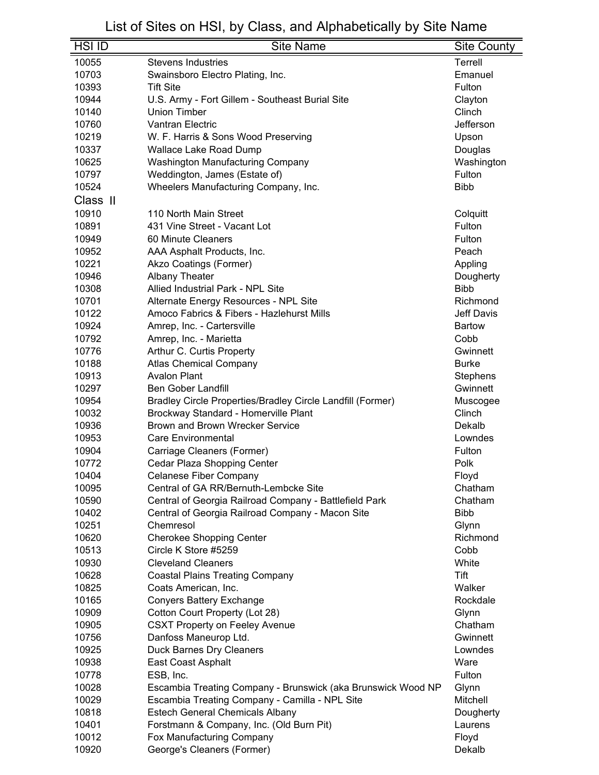| <b>HSI ID</b> | <b>Site Name</b>                                             | Site County       |
|---------------|--------------------------------------------------------------|-------------------|
| 10055         | <b>Stevens Industries</b>                                    | Terrell           |
| 10703         | Swainsboro Electro Plating, Inc.                             | Emanuel           |
| 10393         | <b>Tift Site</b>                                             | Fulton            |
| 10944         | U.S. Army - Fort Gillem - Southeast Burial Site              | Clayton           |
| 10140         | Union Timber                                                 | Clinch            |
| 10760         | <b>Vantran Electric</b>                                      | Jefferson         |
| 10219         | W. F. Harris & Sons Wood Preserving                          | Upson             |
| 10337         | <b>Wallace Lake Road Dump</b>                                | Douglas           |
| 10625         | <b>Washington Manufacturing Company</b>                      | Washington        |
| 10797         | Weddington, James (Estate of)                                | Fulton            |
| 10524         | Wheelers Manufacturing Company, Inc.                         | <b>Bibb</b>       |
| Class II      |                                                              |                   |
|               |                                                              |                   |
| 10910         | 110 North Main Street                                        | Colquitt          |
| 10891         | 431 Vine Street - Vacant Lot                                 | Fulton            |
| 10949         | 60 Minute Cleaners                                           | Fulton            |
| 10952         | AAA Asphalt Products, Inc.                                   | Peach             |
| 10221         | Akzo Coatings (Former)                                       | Appling           |
| 10946         | <b>Albany Theater</b>                                        | Dougherty         |
| 10308         | <b>Allied Industrial Park - NPL Site</b>                     | <b>Bibb</b>       |
| 10701         | Alternate Energy Resources - NPL Site                        | Richmond          |
| 10122         | Amoco Fabrics & Fibers - Hazlehurst Mills                    | <b>Jeff Davis</b> |
| 10924         | Amrep, Inc. - Cartersville                                   | <b>Bartow</b>     |
| 10792         | Amrep, Inc. - Marietta                                       | Cobb              |
| 10776         | Arthur C. Curtis Property                                    | Gwinnett          |
| 10188         | <b>Atlas Chemical Company</b>                                | <b>Burke</b>      |
| 10913         | <b>Avalon Plant</b>                                          | <b>Stephens</b>   |
| 10297         | <b>Ben Gober Landfill</b>                                    | Gwinnett          |
| 10954         | Bradley Circle Properties/Bradley Circle Landfill (Former)   | Muscogee          |
| 10032         | Brockway Standard - Homerville Plant                         | Clinch            |
| 10936         | Brown and Brown Wrecker Service                              | Dekalb            |
| 10953         | <b>Care Environmental</b>                                    | Lowndes           |
| 10904         | Carriage Cleaners (Former)                                   | Fulton            |
| 10772         | Cedar Plaza Shopping Center                                  | Polk              |
| 10404         | Celanese Fiber Company                                       | Floyd             |
| 10095         | Central of GA RR/Bernuth-Lembcke Site                        | Chatham           |
| 10590         | Central of Georgia Railroad Company - Battlefield Park       | Chatham           |
| 10402         | Central of Georgia Railroad Company - Macon Site             | <b>Bibb</b>       |
| 10251         | Chemresol                                                    | Glynn             |
| 10620         | <b>Cherokee Shopping Center</b>                              | Richmond          |
| 10513         | Circle K Store #5259                                         | Cobb              |
| 10930         | <b>Cleveland Cleaners</b>                                    | White             |
| 10628         | <b>Coastal Plains Treating Company</b>                       | Tift              |
| 10825         | Coats American, Inc.                                         | Walker            |
| 10165         | <b>Conyers Battery Exchange</b>                              | Rockdale          |
| 10909         | Cotton Court Property (Lot 28)                               | Glynn             |
| 10905         | <b>CSXT Property on Feeley Avenue</b>                        | Chatham           |
| 10756         | Danfoss Maneurop Ltd.                                        | Gwinnett          |
| 10925         | Duck Barnes Dry Cleaners                                     | Lowndes           |
| 10938         | East Coast Asphalt                                           | Ware              |
| 10778         | ESB, Inc.                                                    | Fulton            |
| 10028         | Escambia Treating Company - Brunswick (aka Brunswick Wood NP | Glynn             |
| 10029         | Escambia Treating Company - Camilla - NPL Site               | Mitchell          |
| 10818         | <b>Estech General Chemicals Albany</b>                       | Dougherty         |
| 10401         | Forstmann & Company, Inc. (Old Burn Pit)                     | Laurens           |
| 10012         | Fox Manufacturing Company                                    | Floyd             |
| 10920         | George's Cleaners (Former)                                   | Dekalb            |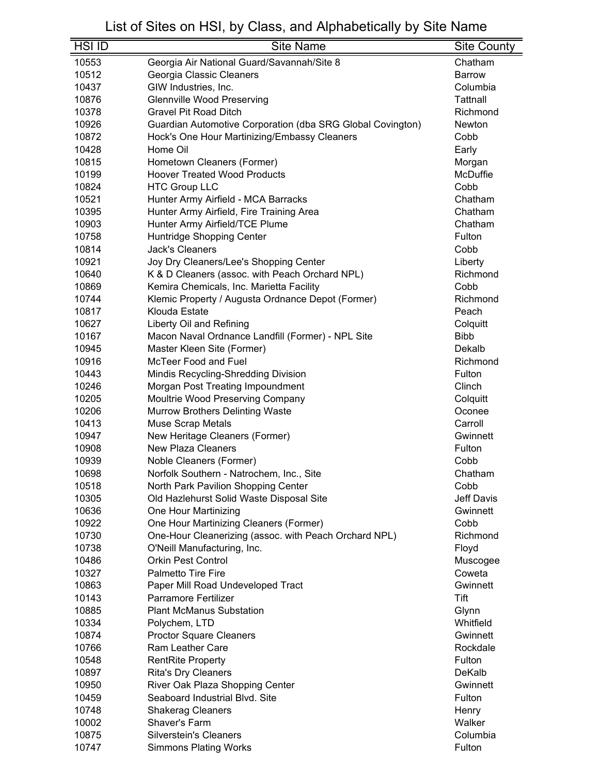| <b>HSI ID</b> | <b>Site Name</b>                                           | <b>Site County</b> |
|---------------|------------------------------------------------------------|--------------------|
| 10553         | Georgia Air National Guard/Savannah/Site 8                 | Chatham            |
| 10512         | Georgia Classic Cleaners                                   | <b>Barrow</b>      |
| 10437         | GIW Industries, Inc.                                       | Columbia           |
| 10876         | <b>Glennville Wood Preserving</b>                          | Tattnall           |
| 10378         | <b>Gravel Pit Road Ditch</b>                               | Richmond           |
| 10926         | Guardian Automotive Corporation (dba SRG Global Covington) | Newton             |
| 10872         | Hock's One Hour Martinizing/Embassy Cleaners               | Cobb               |
| 10428         | Home Oil                                                   | Early              |
| 10815         | Hometown Cleaners (Former)                                 | Morgan             |
| 10199         | <b>Hoover Treated Wood Products</b>                        | McDuffie           |
| 10824         | <b>HTC Group LLC</b>                                       | Cobb               |
| 10521         | Hunter Army Airfield - MCA Barracks                        | Chatham            |
| 10395         | Hunter Army Airfield, Fire Training Area                   | Chatham            |
| 10903         | Hunter Army Airfield/TCE Plume                             | Chatham            |
| 10758         | Huntridge Shopping Center                                  | Fulton             |
| 10814         | <b>Jack's Cleaners</b>                                     | Cobb               |
| 10921         | Joy Dry Cleaners/Lee's Shopping Center                     | Liberty            |
| 10640         | K & D Cleaners (assoc. with Peach Orchard NPL)             | Richmond           |
| 10869         | Kemira Chemicals, Inc. Marietta Facility                   | Cobb               |
| 10744         | Klemic Property / Augusta Ordnance Depot (Former)          | Richmond           |
| 10817         | Klouda Estate                                              | Peach              |
| 10627         | Liberty Oil and Refining                                   | Colquitt           |
| 10167         | Macon Naval Ordnance Landfill (Former) - NPL Site          | <b>Bibb</b>        |
| 10945         | Master Kleen Site (Former)                                 | Dekalb             |
| 10916         | McTeer Food and Fuel                                       | Richmond           |
| 10443         | Mindis Recycling-Shredding Division                        | Fulton             |
| 10246         | Morgan Post Treating Impoundment                           | Clinch             |
| 10205         | Moultrie Wood Preserving Company                           | Colquitt           |
| 10206         | <b>Murrow Brothers Delinting Waste</b>                     | Oconee             |
| 10413         | <b>Muse Scrap Metals</b>                                   | Carroll            |
| 10947         | New Heritage Cleaners (Former)                             | Gwinnett           |
| 10908         | <b>New Plaza Cleaners</b>                                  | Fulton             |
| 10939         | Noble Cleaners (Former)                                    | Cobb               |
| 10698         | Norfolk Southern - Natrochem, Inc., Site                   | Chatham            |
| 10518         | North Park Pavilion Shopping Center                        | Cobb               |
| 10305         | Old Hazlehurst Solid Waste Disposal Site                   | Jeff Davis         |
| 10636         | One Hour Martinizing                                       | Gwinnett           |
| 10922         | One Hour Martinizing Cleaners (Former)                     | Cobb               |
| 10730         | One-Hour Cleanerizing (assoc. with Peach Orchard NPL)      | Richmond           |
| 10738         | O'Neill Manufacturing, Inc.                                | Floyd              |
| 10486         | <b>Orkin Pest Control</b>                                  | Muscogee           |
| 10327         | <b>Palmetto Tire Fire</b>                                  | Coweta             |
| 10863         | Paper Mill Road Undeveloped Tract                          | Gwinnett           |
| 10143         | <b>Parramore Fertilizer</b>                                | Tift               |
| 10885         | <b>Plant McManus Substation</b>                            | Glynn              |
| 10334         | Polychem, LTD                                              | Whitfield          |
| 10874         | <b>Proctor Square Cleaners</b>                             | Gwinnett           |
| 10766         | <b>Ram Leather Care</b>                                    | Rockdale           |
| 10548         | <b>RentRite Property</b>                                   | Fulton             |
| 10897         | <b>Rita's Dry Cleaners</b>                                 | DeKalb             |
| 10950         | River Oak Plaza Shopping Center                            | Gwinnett           |
| 10459         | Seaboard Industrial Blvd. Site                             | Fulton             |
| 10748         | <b>Shakerag Cleaners</b>                                   | Henry              |
| 10002         | Shaver's Farm                                              | Walker             |
| 10875         | <b>Silverstein's Cleaners</b>                              | Columbia           |
| 10747         | <b>Simmons Plating Works</b>                               | Fulton             |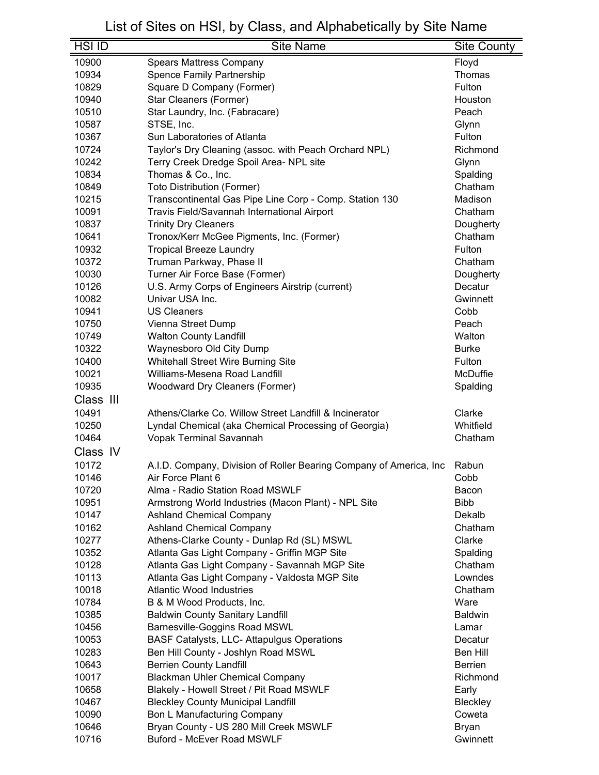| $HSI$ ID       | <b>Site Name</b>                                                   | <b>Site County</b> |
|----------------|--------------------------------------------------------------------|--------------------|
| 10900          | <b>Spears Mattress Company</b>                                     | Floyd              |
| 10934          | Spence Family Partnership                                          | Thomas             |
| 10829          | Square D Company (Former)                                          | Fulton             |
| 10940          | Star Cleaners (Former)                                             | Houston            |
| 10510          | Star Laundry, Inc. (Fabracare)                                     | Peach              |
| 10587          | STSE, Inc.                                                         | Glynn              |
| 10367          | Sun Laboratories of Atlanta                                        | Fulton             |
| 10724          | Taylor's Dry Cleaning (assoc. with Peach Orchard NPL)              | Richmond           |
| 10242          | Terry Creek Dredge Spoil Area- NPL site                            | Glynn              |
| 10834          | Thomas & Co., Inc.                                                 | Spalding           |
| 10849          | <b>Toto Distribution (Former)</b>                                  | Chatham            |
| 10215          | Transcontinental Gas Pipe Line Corp - Comp. Station 130            | Madison            |
| 10091          | Travis Field/Savannah International Airport                        | Chatham            |
| 10837          | <b>Trinity Dry Cleaners</b>                                        | Dougherty          |
| 10641          | Tronox/Kerr McGee Pigments, Inc. (Former)                          | Chatham            |
| 10932          | <b>Tropical Breeze Laundry</b>                                     | Fulton             |
| 10372          | Truman Parkway, Phase II                                           | Chatham            |
| 10030          | Turner Air Force Base (Former)                                     | Dougherty          |
| 10126          | U.S. Army Corps of Engineers Airstrip (current)                    | Decatur            |
| 10082          | Univar USA Inc.                                                    | Gwinnett           |
| 10941          | <b>US Cleaners</b>                                                 | Cobb               |
| 10750          | Vienna Street Dump                                                 | Peach              |
| 10749          | <b>Walton County Landfill</b>                                      | Walton             |
| 10322          | Waynesboro Old City Dump                                           | <b>Burke</b>       |
| 10400          | Whitehall Street Wire Burning Site                                 | Fulton             |
| 10021          | Williams-Mesena Road Landfill                                      | McDuffie           |
| 10935          | <b>Woodward Dry Cleaners (Former)</b>                              | Spalding           |
| Class III      |                                                                    |                    |
| 10491          |                                                                    | Clarke             |
|                | Athens/Clarke Co. Willow Street Landfill & Incinerator             | Whitfield          |
| 10250<br>10464 | Lyndal Chemical (aka Chemical Processing of Georgia)               |                    |
|                | Vopak Terminal Savannah                                            | Chatham            |
| Class IV       |                                                                    |                    |
| 10172          | A.I.D. Company, Division of Roller Bearing Company of America, Inc | Rabun              |
| 10146          | Air Force Plant 6                                                  | Cobb               |
| 10720          | Alma - Radio Station Road MSWLF                                    | Bacon              |
| 10951          | Armstrong World Industries (Macon Plant) - NPL Site                | <b>Bibb</b>        |
| 10147          | <b>Ashland Chemical Company</b>                                    | Dekalb             |
| 10162          | <b>Ashland Chemical Company</b>                                    | Chatham            |
| 10277          | Athens-Clarke County - Dunlap Rd (SL) MSWL                         | Clarke             |
| 10352          | Atlanta Gas Light Company - Griffin MGP Site                       | Spalding           |
| 10128          | Atlanta Gas Light Company - Savannah MGP Site                      | Chatham            |
| 10113          | Atlanta Gas Light Company - Valdosta MGP Site                      | Lowndes            |
| 10018          | <b>Atlantic Wood Industries</b>                                    | Chatham            |
| 10784          | B & M Wood Products, Inc.                                          | Ware               |
| 10385          | <b>Baldwin County Sanitary Landfill</b>                            | <b>Baldwin</b>     |
| 10456          | Barnesville-Goggins Road MSWL                                      | Lamar              |
| 10053          | <b>BASF Catalysts, LLC- Attapulgus Operations</b>                  | Decatur            |
| 10283          | Ben Hill County - Joshlyn Road MSWL                                | <b>Ben Hill</b>    |
| 10643          | <b>Berrien County Landfill</b>                                     | <b>Berrien</b>     |
| 10017          | <b>Blackman Uhler Chemical Company</b>                             | Richmond           |
| 10658          | Blakely - Howell Street / Pit Road MSWLF                           | Early              |
| 10467          | <b>Bleckley County Municipal Landfill</b>                          | Bleckley           |
| 10090          | <b>Bon L Manufacturing Company</b>                                 | Coweta             |
| 10646          | Bryan County - US 280 Mill Creek MSWLF                             | <b>Bryan</b>       |
| 10716          | <b>Buford - McEver Road MSWLF</b>                                  | Gwinnett           |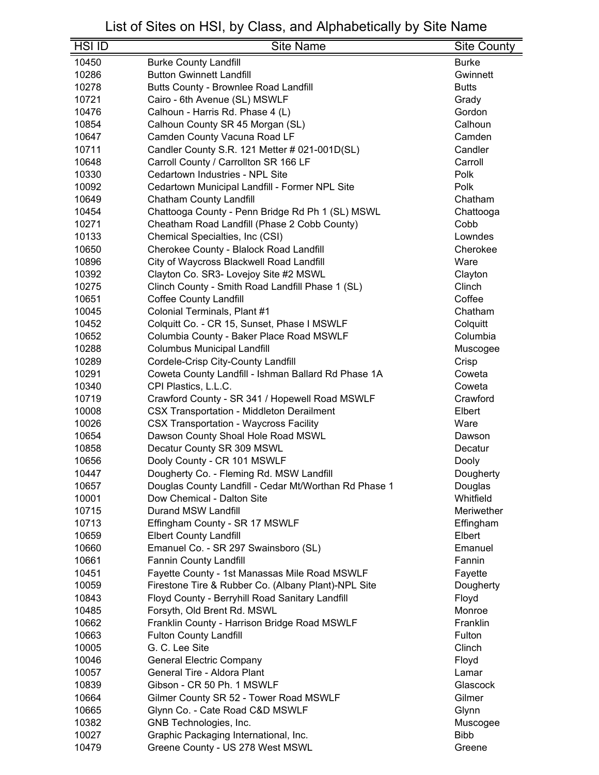| <b>HSI ID</b> | <b>Site Name</b>                                      | <b>Site County</b> |
|---------------|-------------------------------------------------------|--------------------|
| 10450         | <b>Burke County Landfill</b>                          | <b>Burke</b>       |
| 10286         | <b>Button Gwinnett Landfill</b>                       | Gwinnett           |
| 10278         | Butts County - Brownlee Road Landfill                 | <b>Butts</b>       |
| 10721         | Cairo - 6th Avenue (SL) MSWLF                         | Grady              |
| 10476         | Calhoun - Harris Rd. Phase 4 (L)                      | Gordon             |
| 10854         | Calhoun County SR 45 Morgan (SL)                      | Calhoun            |
| 10647         | Camden County Vacuna Road LF                          | Camden             |
| 10711         | Candler County S.R. 121 Metter # 021-001D(SL)         | Candler            |
| 10648         | Carroll County / Carrollton SR 166 LF                 | Carroll            |
| 10330         | Cedartown Industries - NPL Site                       | Polk               |
| 10092         | Cedartown Municipal Landfill - Former NPL Site        | Polk               |
| 10649         | <b>Chatham County Landfill</b>                        | Chatham            |
| 10454         | Chattooga County - Penn Bridge Rd Ph 1 (SL) MSWL      | Chattooga          |
| 10271         | Cheatham Road Landfill (Phase 2 Cobb County)          | Cobb               |
| 10133         | Chemical Specialties, Inc (CSI)                       | Lowndes            |
| 10650         | Cherokee County - Blalock Road Landfill               | Cherokee           |
| 10896         | City of Waycross Blackwell Road Landfill              | Ware               |
| 10392         | Clayton Co. SR3- Lovejoy Site #2 MSWL                 | Clayton            |
| 10275         | Clinch County - Smith Road Landfill Phase 1 (SL)      | Clinch             |
| 10651         | <b>Coffee County Landfill</b>                         | Coffee             |
| 10045         | Colonial Terminals, Plant #1                          | Chatham            |
| 10452         | Colquitt Co. - CR 15, Sunset, Phase I MSWLF           | Colquitt           |
| 10652         | Columbia County - Baker Place Road MSWLF              | Columbia           |
| 10288         | <b>Columbus Municipal Landfill</b>                    | Muscogee           |
| 10289         | Cordele-Crisp City-County Landfill                    | Crisp              |
| 10291         | Coweta County Landfill - Ishman Ballard Rd Phase 1A   | Coweta             |
| 10340         | CPI Plastics, L.L.C.                                  | Coweta             |
| 10719         | Crawford County - SR 341 / Hopewell Road MSWLF        | Crawford           |
| 10008         | <b>CSX Transportation - Middleton Derailment</b>      | Elbert             |
| 10026         | <b>CSX Transportation - Waycross Facility</b>         | Ware               |
| 10654         | Dawson County Shoal Hole Road MSWL                    | Dawson             |
| 10858         | Decatur County SR 309 MSWL                            | Decatur            |
| 10656         | Dooly County - CR 101 MSWLF                           | Dooly              |
| 10447         | Dougherty Co. - Fleming Rd. MSW Landfill              | Dougherty          |
| 10657         | Douglas County Landfill - Cedar Mt/Worthan Rd Phase 1 | Douglas            |
| 10001         | Dow Chemical - Dalton Site                            | Whitfield          |
| 10715         | Durand MSW Landfill                                   | Meriwether         |
| 10713         | Effingham County - SR 17 MSWLF                        | Effingham          |
| 10659         | <b>Elbert County Landfill</b>                         | Elbert             |
| 10660         | Emanuel Co. - SR 297 Swainsboro (SL)                  | Emanuel            |
| 10661         | <b>Fannin County Landfill</b>                         | Fannin             |
| 10451         | Fayette County - 1st Manassas Mile Road MSWLF         | Fayette            |
| 10059         | Firestone Tire & Rubber Co. (Albany Plant)-NPL Site   | Dougherty          |
| 10843         | Floyd County - Berryhill Road Sanitary Landfill       | Floyd              |
| 10485         | Forsyth, Old Brent Rd. MSWL                           | Monroe             |
| 10662         | Franklin County - Harrison Bridge Road MSWLF          | Franklin           |
| 10663         | <b>Fulton County Landfill</b>                         | Fulton             |
| 10005         | G. C. Lee Site                                        | Clinch             |
| 10046         | <b>General Electric Company</b>                       | Floyd              |
| 10057         | General Tire - Aldora Plant                           | Lamar              |
| 10839         | Gibson - CR 50 Ph. 1 MSWLF                            | Glascock           |
| 10664         | Gilmer County SR 52 - Tower Road MSWLF                | Gilmer             |
| 10665         | Glynn Co. - Cate Road C&D MSWLF                       | Glynn              |
| 10382         | GNB Technologies, Inc.                                | Muscogee           |
| 10027         | Graphic Packaging International, Inc.                 | <b>Bibb</b>        |
| 10479         | Greene County - US 278 West MSWL                      | Greene             |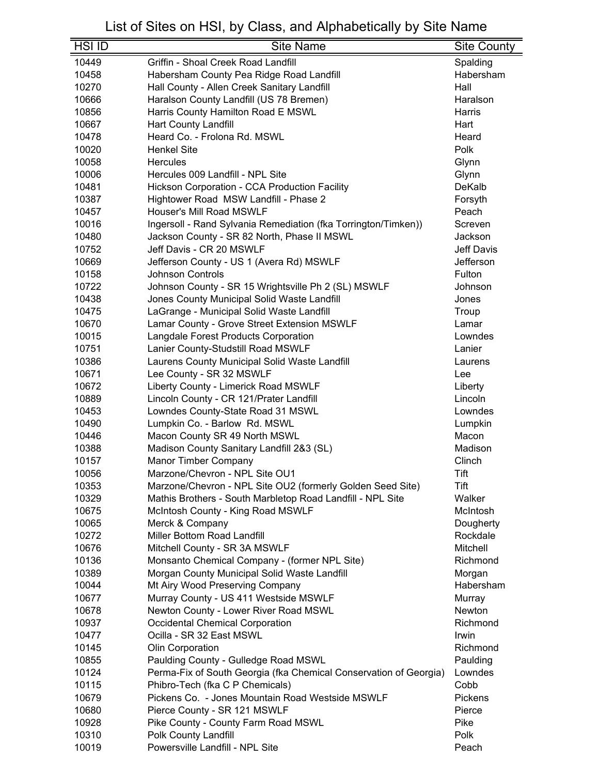| <b>HSI ID</b> | <b>Site Name</b>                                                  | <b>Site County</b> |
|---------------|-------------------------------------------------------------------|--------------------|
| 10449         | Griffin - Shoal Creek Road Landfill                               | Spalding           |
| 10458         | Habersham County Pea Ridge Road Landfill                          | Habersham          |
| 10270         | Hall County - Allen Creek Sanitary Landfill                       | Hall               |
| 10666         | Haralson County Landfill (US 78 Bremen)                           | Haralson           |
| 10856         | Harris County Hamilton Road E MSWL                                | Harris             |
| 10667         | Hart County Landfill                                              | Hart               |
| 10478         | Heard Co. - Frolona Rd. MSWL                                      | Heard              |
| 10020         | <b>Henkel Site</b>                                                | Polk               |
| 10058         | Hercules                                                          |                    |
| 10006         | Hercules 009 Landfill - NPL Site                                  | Glynn<br>Glynn     |
|               |                                                                   | DeKalb             |
| 10481         | Hickson Corporation - CCA Production Facility                     |                    |
| 10387         | Hightower Road MSW Landfill - Phase 2                             | Forsyth            |
| 10457         | Houser's Mill Road MSWLF                                          | Peach              |
| 10016         | Ingersoll - Rand Sylvania Remediation (fka Torrington/Timken))    | Screven            |
| 10480         | Jackson County - SR 82 North, Phase II MSWL                       | Jackson            |
| 10752         | Jeff Davis - CR 20 MSWLF                                          | Jeff Davis         |
| 10669         | Jefferson County - US 1 (Avera Rd) MSWLF                          | Jefferson          |
| 10158         | <b>Johnson Controls</b>                                           | Fulton             |
| 10722         | Johnson County - SR 15 Wrightsville Ph 2 (SL) MSWLF               | Johnson            |
| 10438         | Jones County Municipal Solid Waste Landfill                       | Jones              |
| 10475         | LaGrange - Municipal Solid Waste Landfill                         | Troup              |
| 10670         | Lamar County - Grove Street Extension MSWLF                       | Lamar              |
| 10015         | Langdale Forest Products Corporation                              | Lowndes            |
| 10751         | Lanier County-Studstill Road MSWLF                                | Lanier             |
| 10386         | Laurens County Municipal Solid Waste Landfill                     | Laurens            |
| 10671         | Lee County - SR 32 MSWLF                                          | Lee                |
| 10672         | Liberty County - Limerick Road MSWLF                              | Liberty            |
| 10889         | Lincoln County - CR 121/Prater Landfill                           | Lincoln            |
| 10453         | Lowndes County-State Road 31 MSWL                                 | Lowndes            |
| 10490         | Lumpkin Co. - Barlow Rd. MSWL                                     | Lumpkin            |
| 10446         | Macon County SR 49 North MSWL                                     | Macon              |
| 10388         | Madison County Sanitary Landfill 2&3 (SL)                         | Madison            |
| 10157         | <b>Manor Timber Company</b>                                       | Clinch             |
| 10056         | Marzone/Chevron - NPL Site OU1                                    | Tift               |
| 10353         | Marzone/Chevron - NPL Site OU2 (formerly Golden Seed Site)        | Tift               |
| 10329         | Mathis Brothers - South Marbletop Road Landfill - NPL Site        | Walker             |
| 10675         | McIntosh County - King Road MSWLF                                 | McIntosh           |
| 10065         | Merck & Company                                                   | Dougherty          |
| 10272         | <b>Miller Bottom Road Landfill</b>                                | Rockdale           |
| 10676         | Mitchell County - SR 3A MSWLF                                     | Mitchell           |
| 10136         | Monsanto Chemical Company - (former NPL Site)                     | Richmond           |
| 10389         | Morgan County Municipal Solid Waste Landfill                      | Morgan             |
| 10044         | Mt Airy Wood Preserving Company                                   | Habersham          |
| 10677         | Murray County - US 411 Westside MSWLF                             | Murray             |
| 10678         | Newton County - Lower River Road MSWL                             | Newton             |
| 10937         | <b>Occidental Chemical Corporation</b>                            | Richmond           |
| 10477         | Ocilla - SR 32 East MSWL                                          | Irwin              |
| 10145         | Olin Corporation                                                  | Richmond           |
| 10855         | Paulding County - Gulledge Road MSWL                              | Paulding           |
| 10124         | Perma-Fix of South Georgia (fka Chemical Conservation of Georgia) | Lowndes            |
| 10115         | Phibro-Tech (fka C P Chemicals)                                   | Cobb               |
| 10679         | Pickens Co. - Jones Mountain Road Westside MSWLF                  | Pickens            |
| 10680         | Pierce County - SR 121 MSWLF                                      | Pierce             |
| 10928         | Pike County - County Farm Road MSWL                               | Pike               |
| 10310         | Polk County Landfill                                              | Polk               |
| 10019         | Powersville Landfill - NPL Site                                   | Peach              |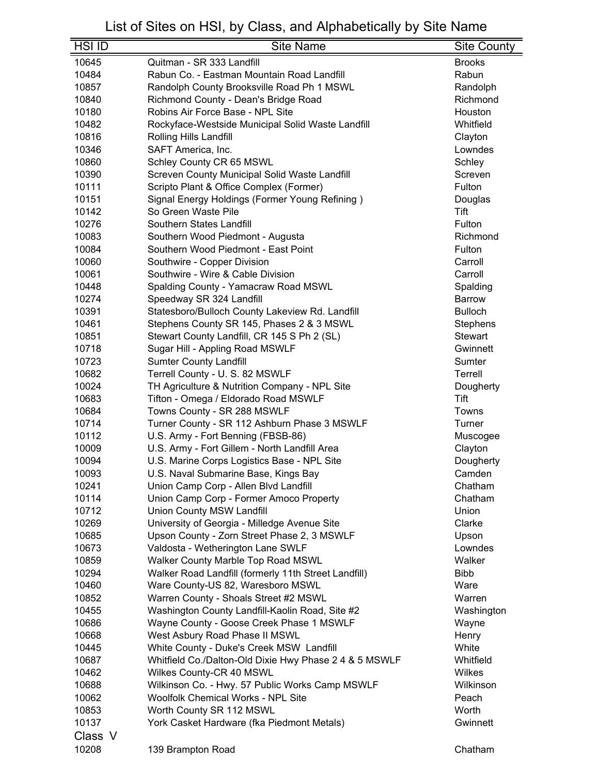| <b>HSI ID</b> | <b>Site Name</b>                                       | <b>Site County</b>                |
|---------------|--------------------------------------------------------|-----------------------------------|
| 10645         | Quitman - SR 333 Landfill                              | <b>Brooks</b>                     |
| 10484         | Rabun Co. - Eastman Mountain Road Landfill             | Rabun                             |
| 10857         | Randolph County Brooksville Road Ph 1 MSWL             | Randolph                          |
| 10840         | Richmond County - Dean's Bridge Road                   | Richmond                          |
| 10180         | Robins Air Force Base - NPL Site                       | Houston                           |
| 10482         | Rockyface-Westside Municipal Solid Waste Landfill      | Whitfield                         |
| 10816         | Rolling Hills Landfill                                 | Clayton                           |
| 10346         | SAFT America, Inc.                                     | Lowndes                           |
| 10860         | Schley County CR 65 MSWL                               | Schley                            |
| 10390         | Screven County Municipal Solid Waste Landfill          | Screven                           |
| 10111         | Scripto Plant & Office Complex (Former)                | Fulton                            |
| 10151         | Signal Energy Holdings (Former Young Refining)         | Douglas                           |
| 10142         | So Green Waste Pile                                    | Tift                              |
| 10276         | Southern States Landfill                               | Fulton                            |
| 10083         | Southern Wood Piedmont - Augusta                       | Richmond                          |
| 10084         | Southern Wood Piedmont - East Point                    | Fulton                            |
| 10060         | Southwire - Copper Division                            | Carroll                           |
| 10061         | Southwire - Wire & Cable Division                      | Carroll                           |
| 10448         | Spalding County - Yamacraw Road MSWL                   | Spalding                          |
| 10274         | Speedway SR 324 Landfill                               | <b>Barrow</b>                     |
| 10391         |                                                        | <b>Bulloch</b>                    |
| 10461         | Statesboro/Bulloch County Lakeview Rd. Landfill        |                                   |
| 10851         | Stephens County SR 145, Phases 2 & 3 MSWL              | <b>Stephens</b><br><b>Stewart</b> |
|               | Stewart County Landfill, CR 145 S Ph 2 (SL)            |                                   |
| 10718         | Sugar Hill - Appling Road MSWLF                        | Gwinnett                          |
| 10723         | <b>Sumter County Landfill</b>                          | Sumter                            |
| 10682         | Terrell County - U. S. 82 MSWLF                        | Terrell                           |
| 10024         | TH Agriculture & Nutrition Company - NPL Site          | Dougherty                         |
| 10683         | Tifton - Omega / Eldorado Road MSWLF                   | Tift                              |
| 10684         | Towns County - SR 288 MSWLF                            | Towns                             |
| 10714         | Turner County - SR 112 Ashburn Phase 3 MSWLF           | Turner                            |
| 10112         | U.S. Army - Fort Benning (FBSB-86)                     | Muscogee                          |
| 10009         | U.S. Army - Fort Gillem - North Landfill Area          | Clayton                           |
| 10094         | U.S. Marine Corps Logistics Base - NPL Site            | Dougherty                         |
| 10093         | U.S. Naval Submarine Base, Kings Bay                   | Camden                            |
| 10241         | Union Camp Corp - Allen Blvd Landfill                  | Chatham                           |
| 10114         | Union Camp Corp - Former Amoco Property                | Chatham                           |
| 10712         | Union County MSW Landfill                              | Union                             |
| 10269         | University of Georgia - Milledge Avenue Site           | Clarke                            |
| 10685         | Upson County - Zorn Street Phase 2, 3 MSWLF            | Upson                             |
| 10673         | Valdosta - Wetherington Lane SWLF                      | Lowndes                           |
| 10859         | Walker County Marble Top Road MSWL                     | Walker                            |
| 10294         | Walker Road Landfill (formerly 11th Street Landfill)   | <b>Bibb</b>                       |
| 10460         | Ware County-US 82, Waresboro MSWL                      | Ware                              |
| 10852         | Warren County - Shoals Street #2 MSWL                  | Warren                            |
| 10455         | Washington County Landfill-Kaolin Road, Site #2        | Washington                        |
| 10686         | Wayne County - Goose Creek Phase 1 MSWLF               | Wayne                             |
| 10668         | West Asbury Road Phase II MSWL                         | Henry                             |
| 10445         | White County - Duke's Creek MSW Landfill               | White                             |
| 10687         | Whitfield Co./Dalton-Old Dixie Hwy Phase 2 4 & 5 MSWLF | Whitfield                         |
| 10462         | Wilkes County-CR 40 MSWL                               | Wilkes                            |
| 10688         | Wilkinson Co. - Hwy. 57 Public Works Camp MSWLF        | Wilkinson                         |
| 10062         | Woolfolk Chemical Works - NPL Site                     | Peach                             |
| 10853         | Worth County SR 112 MSWL                               | Worth                             |
| 10137         | York Casket Hardware (fka Piedmont Metals)             | Gwinnett                          |
| Class V       |                                                        |                                   |
| 10208         | 139 Brampton Road                                      | Chatham                           |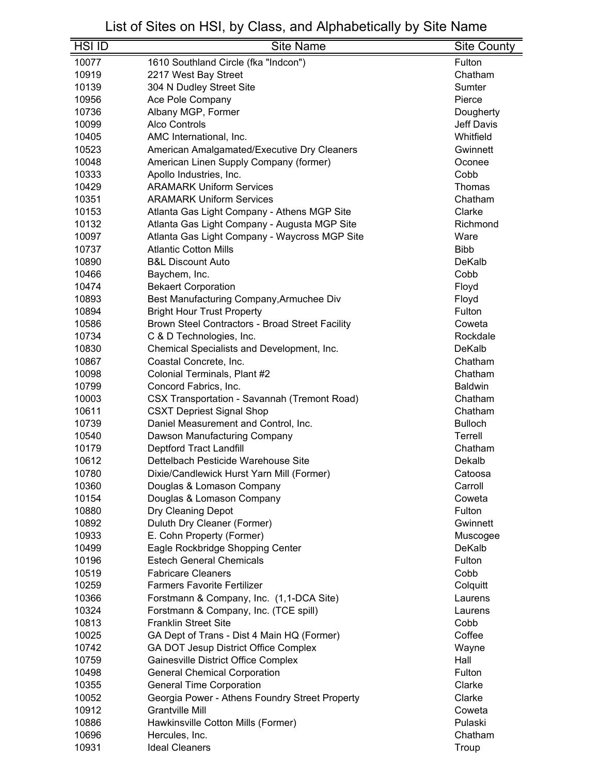| <b>HSI ID</b> | <b>Site Name</b>                                    | <b>Site County</b> |
|---------------|-----------------------------------------------------|--------------------|
| 10077         | 1610 Southland Circle (fka "Indcon")                | Fulton             |
| 10919         | 2217 West Bay Street                                | Chatham            |
| 10139         | 304 N Dudley Street Site                            | Sumter             |
| 10956         | Ace Pole Company                                    | Pierce             |
| 10736         | Albany MGP, Former                                  | Dougherty          |
| 10099         | <b>Alco Controls</b>                                | Jeff Davis         |
| 10405         | AMC International, Inc.                             | Whitfield          |
| 10523         | American Amalgamated/Executive Dry Cleaners         | Gwinnett           |
| 10048         | American Linen Supply Company (former)              | Oconee             |
| 10333         | Apollo Industries, Inc.                             | Cobb               |
| 10429         | <b>ARAMARK Uniform Services</b>                     | Thomas             |
| 10351         | <b>ARAMARK Uniform Services</b>                     | Chatham            |
| 10153         | Atlanta Gas Light Company - Athens MGP Site         | Clarke             |
| 10132         | Atlanta Gas Light Company - Augusta MGP Site        | Richmond           |
| 10097         | Atlanta Gas Light Company - Waycross MGP Site       | Ware               |
| 10737         | <b>Atlantic Cotton Mills</b>                        | <b>Bibb</b>        |
| 10890         | <b>B&amp;L Discount Auto</b>                        | DeKalb             |
| 10466         | Baychem, Inc.                                       | Cobb               |
| 10474         | <b>Bekaert Corporation</b>                          | Floyd              |
| 10893         | Best Manufacturing Company, Armuchee Div            | Floyd              |
| 10894         | <b>Bright Hour Trust Property</b>                   | Fulton             |
| 10586         | Brown Steel Contractors - Broad Street Facility     | Coweta             |
| 10734         | C & D Technologies, Inc.                            | Rockdale           |
| 10830         | Chemical Specialists and Development, Inc.          | DeKalb             |
| 10867         | Coastal Concrete, Inc.                              | Chatham            |
| 10098         | Colonial Terminals, Plant #2                        | Chatham            |
| 10799         | Concord Fabrics, Inc.                               | <b>Baldwin</b>     |
| 10003         | <b>CSX Transportation - Savannah (Tremont Road)</b> | Chatham            |
| 10611         | <b>CSXT Depriest Signal Shop</b>                    | Chatham            |
| 10739         | Daniel Measurement and Control, Inc.                | <b>Bulloch</b>     |
| 10540         | Dawson Manufacturing Company                        | Terrell            |
| 10179         | Deptford Tract Landfill                             | Chatham            |
| 10612         | Dettelbach Pesticide Warehouse Site                 | Dekalb             |
| 10780         | Dixie/Candlewick Hurst Yarn Mill (Former)           | Catoosa            |
| 10360         | Douglas & Lomason Company                           | Carroll            |
| 10154         | Douglas & Lomason Company                           | Coweta             |
| 10880         | Dry Cleaning Depot                                  | Fulton             |
| 10892         | Duluth Dry Cleaner (Former)                         | Gwinnett           |
| 10933         | E. Cohn Property (Former)                           | Muscogee           |
| 10499         | Eagle Rockbridge Shopping Center                    | DeKalb             |
| 10196         | <b>Estech General Chemicals</b>                     | Fulton             |
| 10519         | <b>Fabricare Cleaners</b>                           | Cobb               |
| 10259         | <b>Farmers Favorite Fertilizer</b>                  | Colquitt           |
| 10366         | Forstmann & Company, Inc. (1,1-DCA Site)            | Laurens            |
| 10324         | Forstmann & Company, Inc. (TCE spill)               | Laurens            |
| 10813         | <b>Franklin Street Site</b>                         | Cobb               |
| 10025         | GA Dept of Trans - Dist 4 Main HQ (Former)          | Coffee             |
| 10742         | GA DOT Jesup District Office Complex                | Wayne              |
| 10759         | Gainesville District Office Complex                 | Hall               |
| 10498         | <b>General Chemical Corporation</b>                 | Fulton             |
| 10355         | <b>General Time Corporation</b>                     | Clarke             |
| 10052         | Georgia Power - Athens Foundry Street Property      | Clarke             |
| 10912         | Grantville Mill                                     | Coweta             |
| 10886         | Hawkinsville Cotton Mills (Former)                  | Pulaski            |
| 10696         | Hercules, Inc.                                      | Chatham            |
| 10931         | <b>Ideal Cleaners</b>                               | Troup              |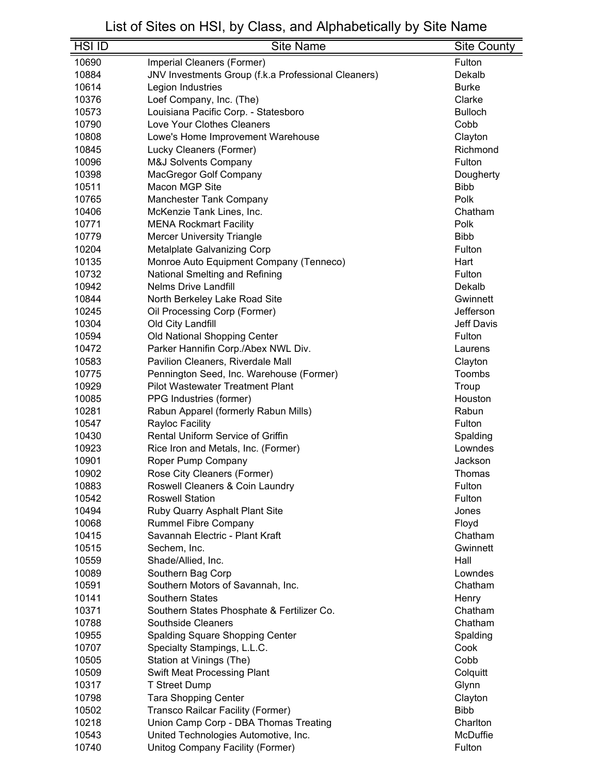| <b>HSI ID</b>  | <b>Site Name</b>                                               | <b>Site County</b> |
|----------------|----------------------------------------------------------------|--------------------|
| 10690          | Imperial Cleaners (Former)                                     | Fulton             |
| 10884          | JNV Investments Group (f.k.a Professional Cleaners)            | Dekalb             |
| 10614          | Legion Industries                                              | <b>Burke</b>       |
| 10376          | Loef Company, Inc. (The)                                       | Clarke             |
| 10573          | Louisiana Pacific Corp. - Statesboro                           | <b>Bulloch</b>     |
| 10790          | Love Your Clothes Cleaners                                     | Cobb               |
| 10808          | Lowe's Home Improvement Warehouse                              | Clayton            |
| 10845          | Lucky Cleaners (Former)                                        | Richmond           |
| 10096          | <b>M&amp;J Solvents Company</b>                                | Fulton             |
| 10398          | MacGregor Golf Company                                         | Dougherty          |
| 10511          | Macon MGP Site                                                 | <b>Bibb</b>        |
| 10765          | <b>Manchester Tank Company</b>                                 | Polk               |
| 10406          | McKenzie Tank Lines, Inc.                                      | Chatham            |
| 10771          | <b>MENA Rockmart Facility</b>                                  | Polk               |
| 10779          | <b>Mercer University Triangle</b>                              | <b>Bibb</b>        |
| 10204          | Metalplate Galvanizing Corp                                    | Fulton             |
| 10135          | Monroe Auto Equipment Company (Tenneco)                        | Hart               |
| 10732          | National Smelting and Refining                                 | Fulton             |
| 10942          | <b>Nelms Drive Landfill</b>                                    | Dekalb             |
| 10844          | North Berkeley Lake Road Site                                  | Gwinnett           |
| 10245          | Oil Processing Corp (Former)                                   | Jefferson          |
| 10304          | Old City Landfill                                              | <b>Jeff Davis</b>  |
| 10594          | Old National Shopping Center                                   | Fulton             |
| 10472          | Parker Hannifin Corp./Abex NWL Div.                            | Laurens            |
| 10583          | Pavilion Cleaners, Riverdale Mall                              | Clayton            |
| 10775          | Pennington Seed, Inc. Warehouse (Former)                       | Toombs             |
| 10929          | <b>Pilot Wastewater Treatment Plant</b>                        | Troup              |
| 10085          | PPG Industries (former)                                        | Houston            |
| 10281          | Rabun Apparel (formerly Rabun Mills)                           | Rabun              |
| 10547          | Rayloc Facility                                                | Fulton             |
| 10430          | <b>Rental Uniform Service of Griffin</b>                       | Spalding           |
| 10923          | Rice Iron and Metals, Inc. (Former)                            | Lowndes            |
| 10901          | Roper Pump Company                                             | Jackson            |
| 10902          | Rose City Cleaners (Former)                                    | Thomas             |
| 10883          | Roswell Cleaners & Coin Laundry                                | Fulton             |
| 10542          | <b>Roswell Station</b>                                         | Fulton             |
| 10494          | Ruby Quarry Asphalt Plant Site                                 | Jones              |
| 10068          | <b>Rummel Fibre Company</b><br>Savannah Electric - Plant Kraft | Floyd<br>Chatham   |
| 10415<br>10515 | Sechem, Inc.                                                   | Gwinnett           |
| 10559          | Shade/Allied, Inc.                                             | Hall               |
| 10089          | Southern Bag Corp                                              | Lowndes            |
| 10591          | Southern Motors of Savannah, Inc.                              | Chatham            |
| 10141          | <b>Southern States</b>                                         | Henry              |
| 10371          | Southern States Phosphate & Fertilizer Co.                     | Chatham            |
| 10788          | <b>Southside Cleaners</b>                                      | Chatham            |
| 10955          | Spalding Square Shopping Center                                | Spalding           |
| 10707          | Specialty Stampings, L.L.C.                                    | Cook               |
| 10505          | Station at Vinings (The)                                       | Cobb               |
| 10509          | Swift Meat Processing Plant                                    | Colquitt           |
| 10317          | <b>T Street Dump</b>                                           | Glynn              |
| 10798          | <b>Tara Shopping Center</b>                                    | Clayton            |
| 10502          | Transco Railcar Facility (Former)                              | <b>Bibb</b>        |
| 10218          | Union Camp Corp - DBA Thomas Treating                          | Charlton           |
| 10543          | United Technologies Automotive, Inc.                           | McDuffie           |
| 10740          | Unitog Company Facility (Former)                               | Fulton             |